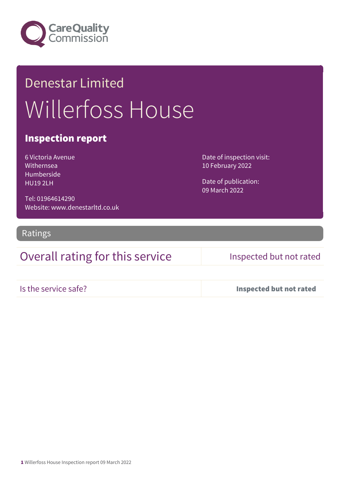

# Denestar Limited Willerfoss House

#### Inspection report

6 Victoria Avenue Withernsea Humberside HU19 2LH

Tel: 01964614290 Website: www.denestarltd.co.uk Date of inspection visit: 10 February 2022

Date of publication: 09 March 2022

Ratings

### Overall rating for this service Inspected but not rated

Is the service safe? Inspected but not rated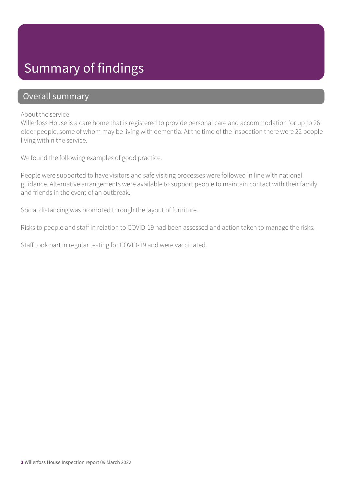# Summary of findings

#### Overall summary

#### About the service

Willerfoss House is a care home that is registered to provide personal care and accommodation for up to 26 older people, some of whom may be living with dementia. At the time of the inspection there were 22 people living within the service.

We found the following examples of good practice.

People were supported to have visitors and safe visiting processes were followed in line with national guidance. Alternative arrangements were available to support people to maintain contact with their family and friends in the event of an outbreak.

Social distancing was promoted through the layout of furniture.

Risks to people and staff in relation to COVID-19 had been assessed and action taken to manage the risks.

Staff took part in regular testing for COVID-19 and were vaccinated.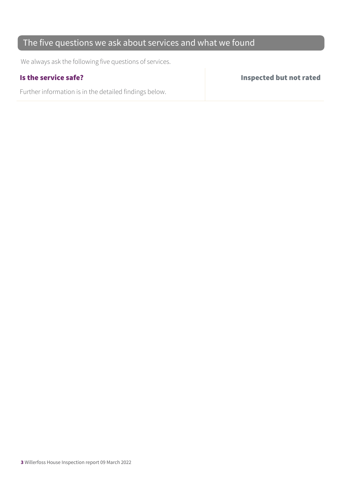### The five questions we ask about services and what we found

We always ask the following five questions of services.

Further information is in the detailed findings below.

Is the service safe? Inspected but not rated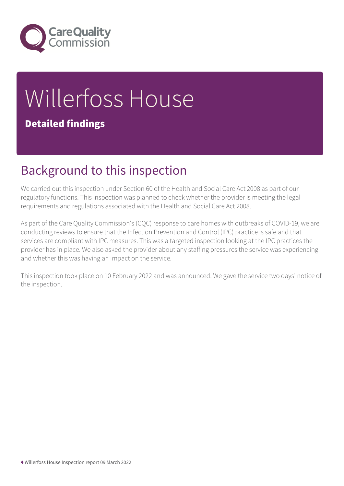

# Willerfoss House Detailed findings

# Background to this inspection

We carried out this inspection under Section 60 of the Health and Social Care Act 2008 as part of our regulatory functions. This inspection was planned to check whether the provider is meeting the legal requirements and regulations associated with the Health and Social Care Act 2008.

As part of the Care Quality Commission's (CQC) response to care homes with outbreaks of COVID-19, we are conducting reviews to ensure that the Infection Prevention and Control (IPC) practice is safe and that services are compliant with IPC measures. This was a targeted inspection looking at the IPC practices the provider has in place. We also asked the provider about any staffing pressures the service was experiencing and whether this was having an impact on the service.

This inspection took place on 10 February 2022 and was announced. We gave the service two days' notice of the inspection.